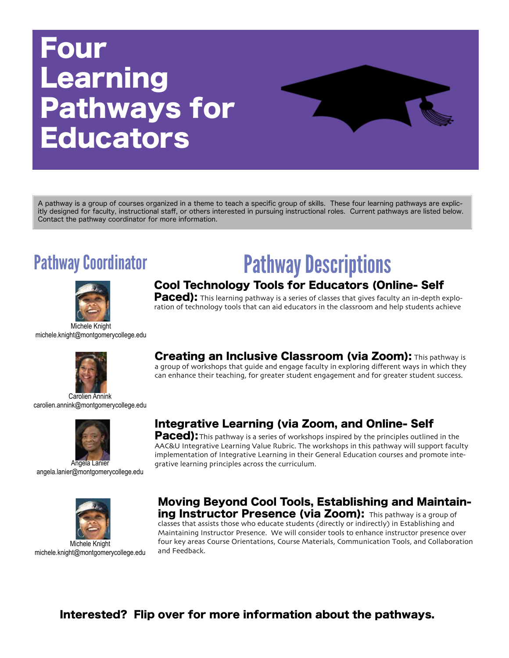# Four **Learning** Pathways for Educators

A pathway is a group of courses organized in a theme to teach a specific group of skills. These four learning pathways are explicitly designed for faculty, instructional staff, or others interested in pursuing instructional roles. Current pathways are listed below. Contact the pathway coordinator for more information.



Michele Knight michele.knight@montgomerycollege.edu



Carolien Annink carolien.annink@montgomerycollege.edu



angela.lanier@montgomerycollege.edu



Michele Knight michele.knight@montgomerycollege.edu

# Pathway Coordinator **Pathway Descriptions**

# Cool Technology Tools for Educators (Online- Self

Paced): This learning pathway is a series of classes that gives faculty an in-depth exploration of technology tools that can aid educators in the classroom and help students achieve

# **Creating an Inclusive Classroom (via Zoom):** This pathway is

a group of workshops that guide and engage faculty in exploring different ways in which they can enhance their teaching, for greater student engagement and for greater student success.

# Integrative Learning (via Zoom, and Online- Self

**Paced):** This pathway is a series of workshops inspired by the principles outlined in the AAC&U Integrative Learning Value Rubric. The workshops in this pathway will support faculty implementation of Integrative Learning in their General Education courses and promote integrative learning principles across the curriculum.

### Moving Beyond Cool Tools, Establishing and Maintaining Instructor Presence (via Zoom): This pathway is a group of

classes that assists those who educate students (directly or indirectly) in Establishing and Maintaining Instructor Presence. We will consider tools to enhance instructor presence over four key areas Course Orientations, Course Materials, Communication Tools, and Collaboration and Feedback.

# Interested? Flip over for more information about the pathways.